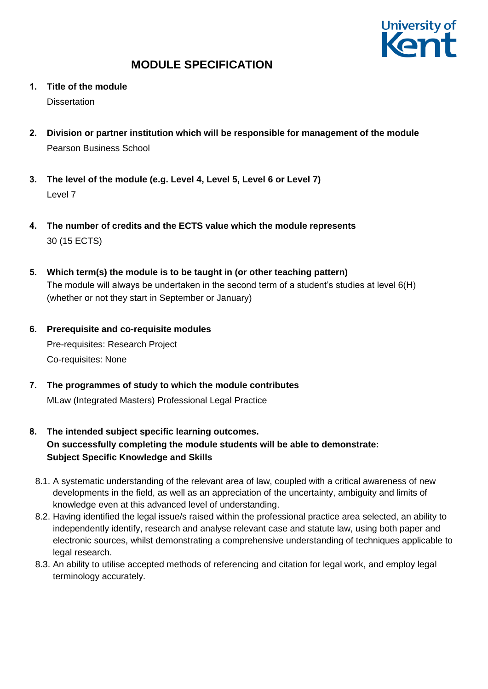

- **1. Title of the module Dissertation**
- **2. Division or partner institution which will be responsible for management of the module** Pearson Business School
- **3. The level of the module (e.g. Level 4, Level 5, Level 6 or Level 7)** Level 7
- **4. The number of credits and the ECTS value which the module represents** 30 (15 ECTS)
- **5. Which term(s) the module is to be taught in (or other teaching pattern)** The module will always be undertaken in the second term of a student's studies at level 6(H) (whether or not they start in September or January)
- **6. Prerequisite and co-requisite modules** Pre-requisites: Research Project Co-requisites: None
- **7. The programmes of study to which the module contributes** MLaw (Integrated Masters) Professional Legal Practice
- **8. The intended subject specific learning outcomes. On successfully completing the module students will be able to demonstrate: Subject Specific Knowledge and Skills**
	- 8.1. A systematic understanding of the relevant area of law, coupled with a critical awareness of new developments in the field, as well as an appreciation of the uncertainty, ambiguity and limits of knowledge even at this advanced level of understanding.
	- 8.2. Having identified the legal issue/s raised within the professional practice area selected, an ability to independently identify, research and analyse relevant case and statute law, using both paper and electronic sources, whilst demonstrating a comprehensive understanding of techniques applicable to legal research.
	- 8.3. An ability to utilise accepted methods of referencing and citation for legal work, and employ legal terminology accurately.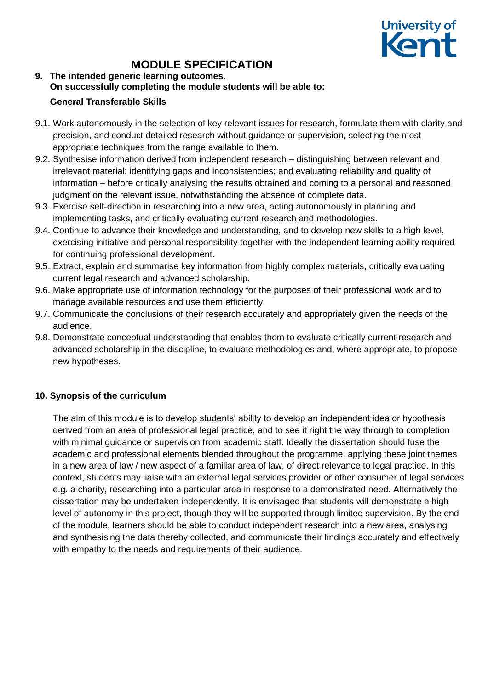

### **9. The intended generic learning outcomes. On successfully completing the module students will be able to: General Transferable Skills**

- 9.1. Work autonomously in the selection of key relevant issues for research, formulate them with clarity and precision, and conduct detailed research without guidance or supervision, selecting the most appropriate techniques from the range available to them.
- 9.2. Synthesise information derived from independent research distinguishing between relevant and irrelevant material; identifying gaps and inconsistencies; and evaluating reliability and quality of information – before critically analysing the results obtained and coming to a personal and reasoned judgment on the relevant issue, notwithstanding the absence of complete data.
- 9.3. Exercise self-direction in researching into a new area, acting autonomously in planning and implementing tasks, and critically evaluating current research and methodologies.
- 9.4. Continue to advance their knowledge and understanding, and to develop new skills to a high level, exercising initiative and personal responsibility together with the independent learning ability required for continuing professional development.
- 9.5. Extract, explain and summarise key information from highly complex materials, critically evaluating current legal research and advanced scholarship.
- 9.6. Make appropriate use of information technology for the purposes of their professional work and to manage available resources and use them efficiently.
- 9.7. Communicate the conclusions of their research accurately and appropriately given the needs of the audience.
- 9.8. Demonstrate conceptual understanding that enables them to evaluate critically current research and advanced scholarship in the discipline, to evaluate methodologies and, where appropriate, to propose new hypotheses.

### **10. Synopsis of the curriculum**

The aim of this module is to develop students' ability to develop an independent idea or hypothesis derived from an area of professional legal practice, and to see it right the way through to completion with minimal guidance or supervision from academic staff. Ideally the dissertation should fuse the academic and professional elements blended throughout the programme, applying these joint themes in a new area of law / new aspect of a familiar area of law, of direct relevance to legal practice. In this context, students may liaise with an external legal services provider or other consumer of legal services e.g. a charity, researching into a particular area in response to a demonstrated need. Alternatively the dissertation may be undertaken independently. It is envisaged that students will demonstrate a high level of autonomy in this project, though they will be supported through limited supervision. By the end of the module, learners should be able to conduct independent research into a new area, analysing and synthesising the data thereby collected, and communicate their findings accurately and effectively with empathy to the needs and requirements of their audience.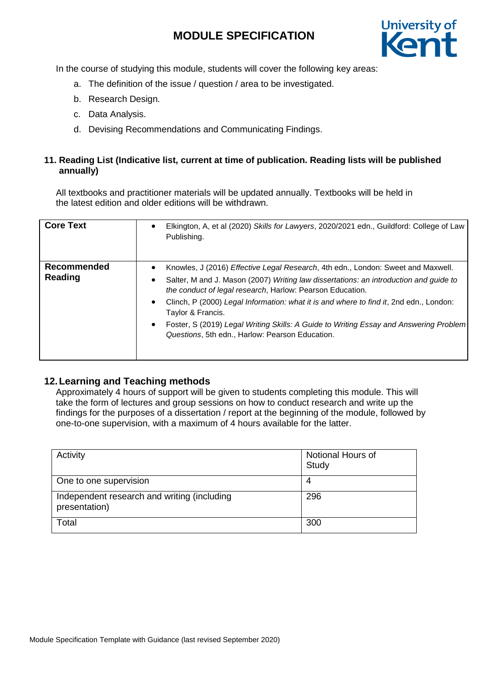

In the course of studying this module, students will cover the following key areas:

- a. The definition of the issue / question / area to be investigated.
- b. Research Design.
- c. Data Analysis.
- d. Devising Recommendations and Communicating Findings.

#### **11. Reading List (Indicative list, current at time of publication. Reading lists will be published annually)**

All textbooks and practitioner materials will be updated annually. Textbooks will be held in the latest edition and older editions will be withdrawn.

| <b>Core Text</b>       | Elkington, A, et al (2020) Skills for Lawyers, 2020/2021 edn., Guildford: College of Law<br>$\bullet$<br>Publishing.                                                                                                                                                                                                                                                                                                                                                                                                                                  |
|------------------------|-------------------------------------------------------------------------------------------------------------------------------------------------------------------------------------------------------------------------------------------------------------------------------------------------------------------------------------------------------------------------------------------------------------------------------------------------------------------------------------------------------------------------------------------------------|
| Recommended<br>Reading | Knowles, J (2016) Effective Legal Research, 4th edn., London: Sweet and Maxwell.<br>$\bullet$<br>Salter, M and J. Mason (2007) Writing law dissertations: an introduction and guide to<br>$\bullet$<br>the conduct of legal research, Harlow: Pearson Education.<br>Clinch, P (2000) Legal Information: what it is and where to find it, 2nd edn., London:<br>$\bullet$<br>Taylor & Francis.<br>Foster, S (2019) Legal Writing Skills: A Guide to Writing Essay and Answering Problem<br>$\bullet$<br>Questions, 5th edn., Harlow: Pearson Education. |

### **12.Learning and Teaching methods**

Approximately 4 hours of support will be given to students completing this module. This will take the form of lectures and group sessions on how to conduct research and write up the findings for the purposes of a dissertation / report at the beginning of the module, followed by one-to-one supervision, with a maximum of 4 hours available for the latter.

| Activity                                                     | Notional Hours of<br>Study |
|--------------------------------------------------------------|----------------------------|
| One to one supervision                                       | 4                          |
| Independent research and writing (including<br>presentation) | 296                        |
| Total                                                        | 300                        |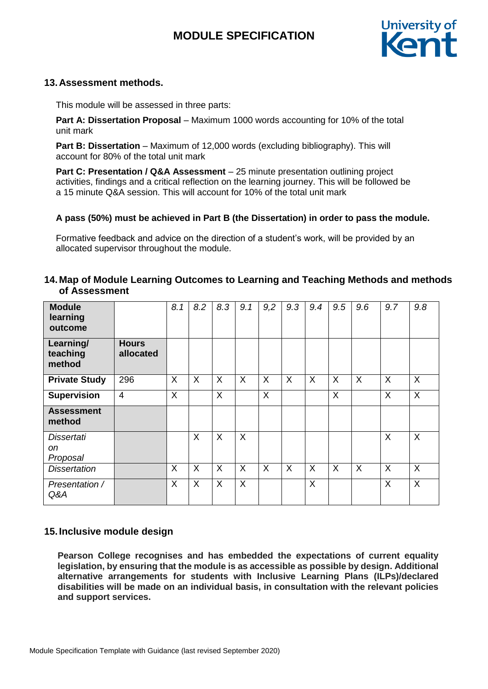

### **13.Assessment methods.**

This module will be assessed in three parts:

**Part A: Dissertation Proposal** – Maximum 1000 words accounting for 10% of the total unit mark

**Part B: Dissertation** – Maximum of 12,000 words (excluding bibliography). This will account for 80% of the total unit mark

**Part C: Presentation / Q&A Assessment** – 25 minute presentation outlining project activities, findings and a critical reflection on the learning journey. This will be followed be a 15 minute Q&A session. This will account for 10% of the total unit mark

#### **A pass (50%) must be achieved in Part B (the Dissertation) in order to pass the module.**

Formative feedback and advice on the direction of a student's work, will be provided by an allocated supervisor throughout the module.

### **14.Map of Module Learning Outcomes to Learning and Teaching Methods and methods of Assessment**

| <b>Module</b><br>learning<br>outcome           |                           | 8.1 | 8.2      | 8.3     | 9.1     | 9,2 | 9.3 | 9.4      | 9.5 | 9.6     | 9.7     | 9.8      |
|------------------------------------------------|---------------------------|-----|----------|---------|---------|-----|-----|----------|-----|---------|---------|----------|
| Learning/<br>teaching<br>method                | <b>Hours</b><br>allocated |     |          |         |         |     |     |          |     |         |         |          |
| <b>Private Study</b>                           | 296                       | X   | X        | X       | X       | X   | X   | $\sf X$  | X   | $\sf X$ | X       | X        |
| <b>Supervision</b>                             | $\overline{4}$            | X   |          | X       |         | X   |     |          | X   |         | X       | X        |
| <b>Assessment</b><br>method                    |                           |     |          |         |         |     |     |          |     |         |         |          |
| <b>Dissertati</b><br><sub>on</sub><br>Proposal |                           |     | $\sf X$  | $\sf X$ | $\sf X$ |     |     |          |     |         | $\sf X$ | X        |
| <b>Dissertation</b>                            |                           | X   | $\times$ | X       | X       | X   | X   | $\times$ | X   | X       | X       | $\times$ |
| Presentation /<br>Q&A                          |                           | X   | X        | X       | $\sf X$ |     |     | $\times$ |     |         | X       | X        |

### **15.Inclusive module design**

**Pearson College recognises and has embedded the expectations of current equality legislation, by ensuring that the module is as accessible as possible by design. Additional alternative arrangements for students with Inclusive Learning Plans (ILPs)/declared disabilities will be made on an individual basis, in consultation with the relevant policies and support services.**